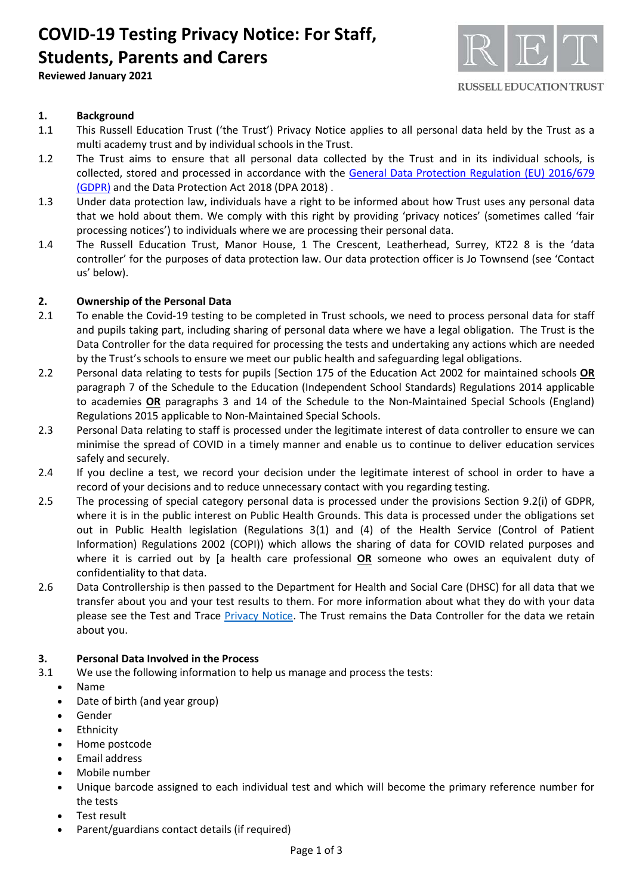## **COVID-19 Testing Privacy Notice: For Staff, Students, Parents and Carers**

**Reviewed January 2021**



### **1. Background**

- 1.1 This Russell Education Trust ('the Trust') Privacy Notice applies to all personal data held by the Trust as a multi academy trust and by individual schools in the Trust.
- 1.2 The Trust aims to ensure that all personal data collected by the Trust and in its individual schools, is collected, stored and processed in accordance with the [General Data Protection Regulation \(EU\) 2016/679](http://data.consilium.europa.eu/doc/document/ST-5419-2016-INIT/en/pdf)  [\(GDPR\)](http://data.consilium.europa.eu/doc/document/ST-5419-2016-INIT/en/pdf) and the Data Protection Act 2018 (DPA 2018) .
- 1.3 Under data protection law, individuals have a right to be informed about how Trust uses any personal data that we hold about them. We comply with this right by providing 'privacy notices' (sometimes called 'fair processing notices') to individuals where we are processing their personal data.
- 1.4 The Russell Education Trust, Manor House, 1 The Crescent, Leatherhead, Surrey, KT22 8 is the 'data controller' for the purposes of data protection law. Our data protection officer is Jo Townsend (see 'Contact us' below).

#### **2. Ownership of the Personal Data**

- 2.1 To enable the Covid-19 testing to be completed in Trust schools, we need to process personal data for staff and pupils taking part, including sharing of personal data where we have a legal obligation. The Trust is the Data Controller for the data required for processing the tests and undertaking any actions which are needed by the Trust's schools to ensure we meet our public health and safeguarding legal obligations.
- 2.2 Personal data relating to tests for pupils [Section 175 of the Education Act 2002 for maintained schools **OR** paragraph 7 of the Schedule to the Education (Independent School Standards) Regulations 2014 applicable to academies **OR** paragraphs 3 and 14 of the Schedule to the Non-Maintained Special Schools (England) Regulations 2015 applicable to Non-Maintained Special Schools.
- 2.3 Personal Data relating to staff is processed under the legitimate interest of data controller to ensure we can minimise the spread of COVID in a timely manner and enable us to continue to deliver education services safely and securely.
- 2.4 If you decline a test, we record your decision under the legitimate interest of school in order to have a record of your decisions and to reduce unnecessary contact with you regarding testing.
- 2.5 The processing of special category personal data is processed under the provisions Section 9.2(i) of GDPR, where it is in the public interest on Public Health Grounds. This data is processed under the obligations set out in Public Health legislation (Regulations 3(1) and (4) of the Health Service (Control of Patient Information) Regulations 2002 (COPI)) which allows the sharing of data for COVID related purposes and where it is carried out by [a health care professional **OR** someone who owes an equivalent duty of confidentiality to that data.
- 2.6 Data Controllership is then passed to the Department for Health and Social Care (DHSC) for all data that we transfer about you and your test results to them. For more information about what they do with your data please see the Test and Trace [Privacy Notice.](https://contact-tracing.phe.gov.uk/help/privacy-notice) The Trust remains the Data Controller for the data we retain about you.

#### **3. Personal Data Involved in the Process**

- 3.1 We use the following information to help us manage and process the tests:
	- Name
	- Date of birth (and year group)
	- Gender
	- **Ethnicity**
	- Home postcode
	- Email address
	- Mobile number
	- Unique barcode assigned to each individual test and which will become the primary reference number for the tests
	- Test result
	- Parent/guardians contact details (if required)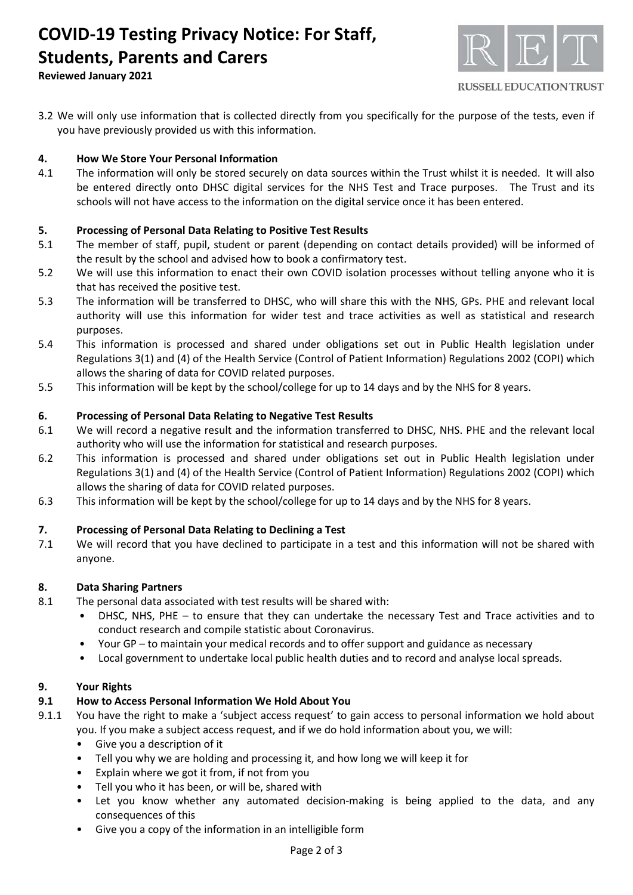# **COVID-19 Testing Privacy Notice: For Staff, Students, Parents and Carers**



**Reviewed January 2021**

3.2 We will only use information that is collected directly from you specifically for the purpose of the tests, even if you have previously provided us with this information.

## **4. How We Store Your Personal Information**

4.1 The information will only be stored securely on data sources within the Trust whilst it is needed. It will also be entered directly onto DHSC digital services for the NHS Test and Trace purposes. The Trust and its schools will not have access to the information on the digital service once it has been entered.

## **5. Processing of Personal Data Relating to Positive Test Results**

- 5.1 The member of staff, pupil, student or parent (depending on contact details provided) will be informed of the result by the school and advised how to book a confirmatory test.
- 5.2 We will use this information to enact their own COVID isolation processes without telling anyone who it is that has received the positive test.
- 5.3 The information will be transferred to DHSC, who will share this with the NHS, GPs. PHE and relevant local authority will use this information for wider test and trace activities as well as statistical and research purposes.
- 5.4 This information is processed and shared under obligations set out in Public Health legislation under Regulations 3(1) and (4) of the Health Service (Control of Patient Information) Regulations 2002 (COPI) which allows the sharing of data for COVID related purposes.
- 5.5 This information will be kept by the school/college for up to 14 days and by the NHS for 8 years.

## **6. Processing of Personal Data Relating to Negative Test Results**

- 6.1 We will record a negative result and the information transferred to DHSC, NHS. PHE and the relevant local authority who will use the information for statistical and research purposes.
- 6.2 This information is processed and shared under obligations set out in Public Health legislation under Regulations 3(1) and (4) of the Health Service (Control of Patient Information) Regulations 2002 (COPI) which allows the sharing of data for COVID related purposes.
- 6.3 This information will be kept by the school/college for up to 14 days and by the NHS for 8 years.

## **7. Processing of Personal Data Relating to Declining a Test**

7.1 We will record that you have declined to participate in a test and this information will not be shared with anyone.

## **8. Data Sharing Partners**

- 8.1 The personal data associated with test results will be shared with:
	- DHSC, NHS, PHE to ensure that they can undertake the necessary Test and Trace activities and to conduct research and compile statistic about Coronavirus.
	- Your GP to maintain your medical records and to offer support and guidance as necessary
	- Local government to undertake local public health duties and to record and analyse local spreads.

## **9. Your Rights**

## **9.1 How to Access Personal Information We Hold About You**

- 9.1.1 You have the right to make a 'subject access request' to gain access to personal information we hold about you. If you make a subject access request, and if we do hold information about you, we will:
	- Give you a description of it
	- Tell you why we are holding and processing it, and how long we will keep it for
	- Explain where we got it from, if not from you
	- Tell you who it has been, or will be, shared with
	- Let you know whether any automated decision-making is being applied to the data, and any consequences of this
	- Give you a copy of the information in an intelligible form